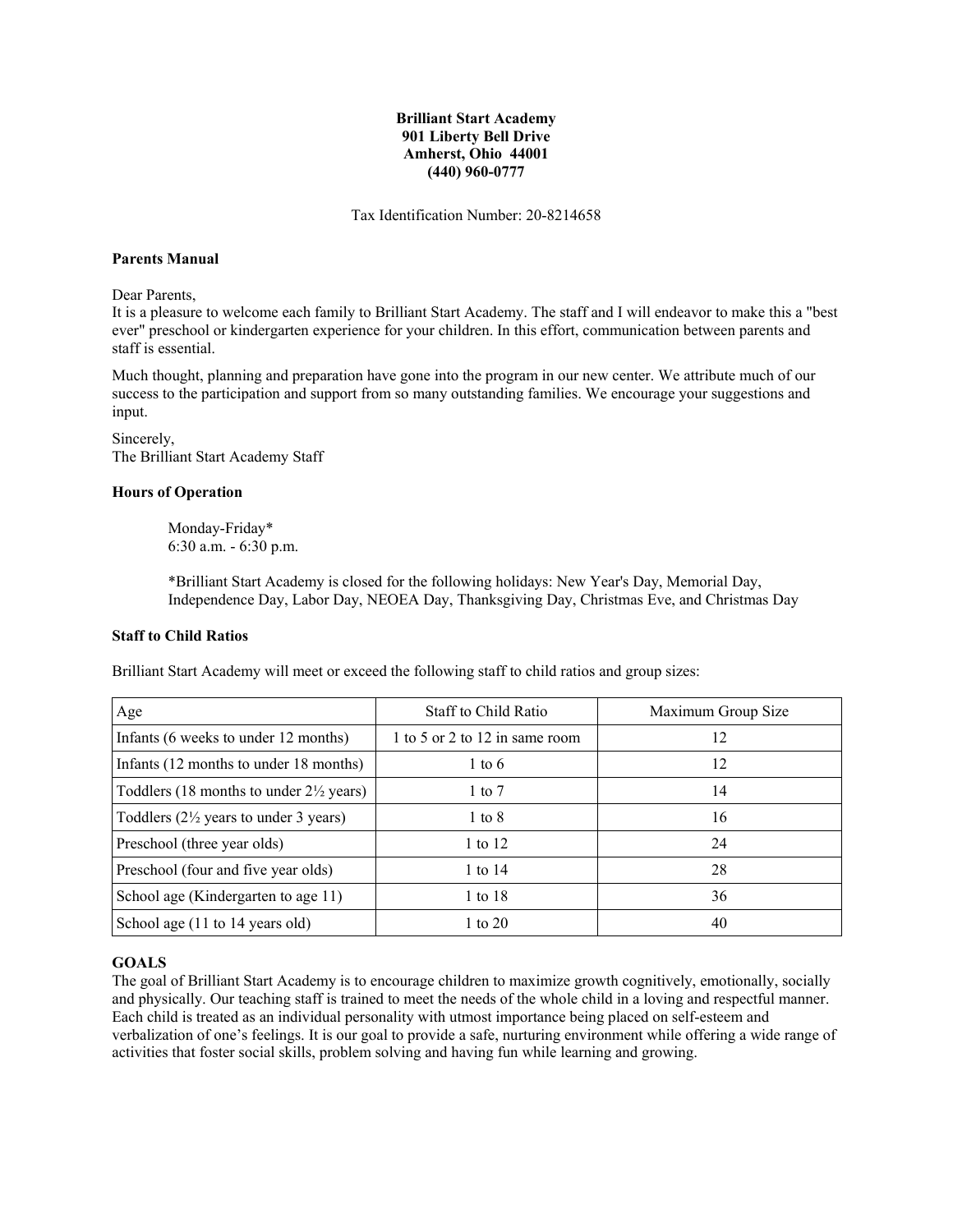# **Brilliant Start Academy 901 Liberty Bell Drive Amherst, Ohio 44001 (440) 960-0777**

Tax Identification Number: 20-8214658

#### **Parents Manual**

Dear Parents,

It is a pleasure to welcome each family to Brilliant Start Academy. The staff and I will endeavor to make this a "best ever" preschool or kindergarten experience for your children. In this effort, communication between parents and staff is essential.

Much thought, planning and preparation have gone into the program in our new center. We attribute much of our success to the participation and support from so many outstanding families. We encourage your suggestions and input.

Sincerely, The Brilliant Start Academy Staff

## **Hours of Operation**

Monday-Friday\* 6:30 a.m. - 6:30 p.m.

\*Brilliant Start Academy is closed for the following holidays: New Year's Day, Memorial Day, Independence Day, Labor Day, NEOEA Day, Thanksgiving Day, Christmas Eve, and Christmas Day

## **Staff to Child Ratios**

Brilliant Start Academy will meet or exceed the following staff to child ratios and group sizes:

| Age                                                | Staff to Child Ratio           | Maximum Group Size |
|----------------------------------------------------|--------------------------------|--------------------|
| Infants (6 weeks to under 12 months)               | 1 to 5 or 2 to 12 in same room | 12                 |
| Infants (12 months to under 18 months)             | $1 \text{ to } 6$              | 12                 |
| Toddlers (18 months to under $2\frac{1}{2}$ years) | $1 \text{ to } 7$              | 14                 |
| Toddlers $(2\frac{1}{2})$ years to under 3 years)  | $1 \text{ to } 8$              | 16                 |
| Preschool (three year olds)                        | 1 to 12                        | 24                 |
| Preschool (four and five year olds)                | 1 to $14$                      | 28                 |
| School age (Kindergarten to age 11)                | 1 to 18                        | 36                 |
| School age (11 to 14 years old)                    | 1 to $20$                      | 40                 |

## **GOALS**

The goal of Brilliant Start Academy is to encourage children to maximize growth cognitively, emotionally, socially and physically. Our teaching staff is trained to meet the needs of the whole child in a loving and respectful manner. Each child is treated as an individual personality with utmost importance being placed on self-esteem and verbalization of one's feelings. It is our goal to provide a safe, nurturing environment while offering a wide range of activities that foster social skills, problem solving and having fun while learning and growing.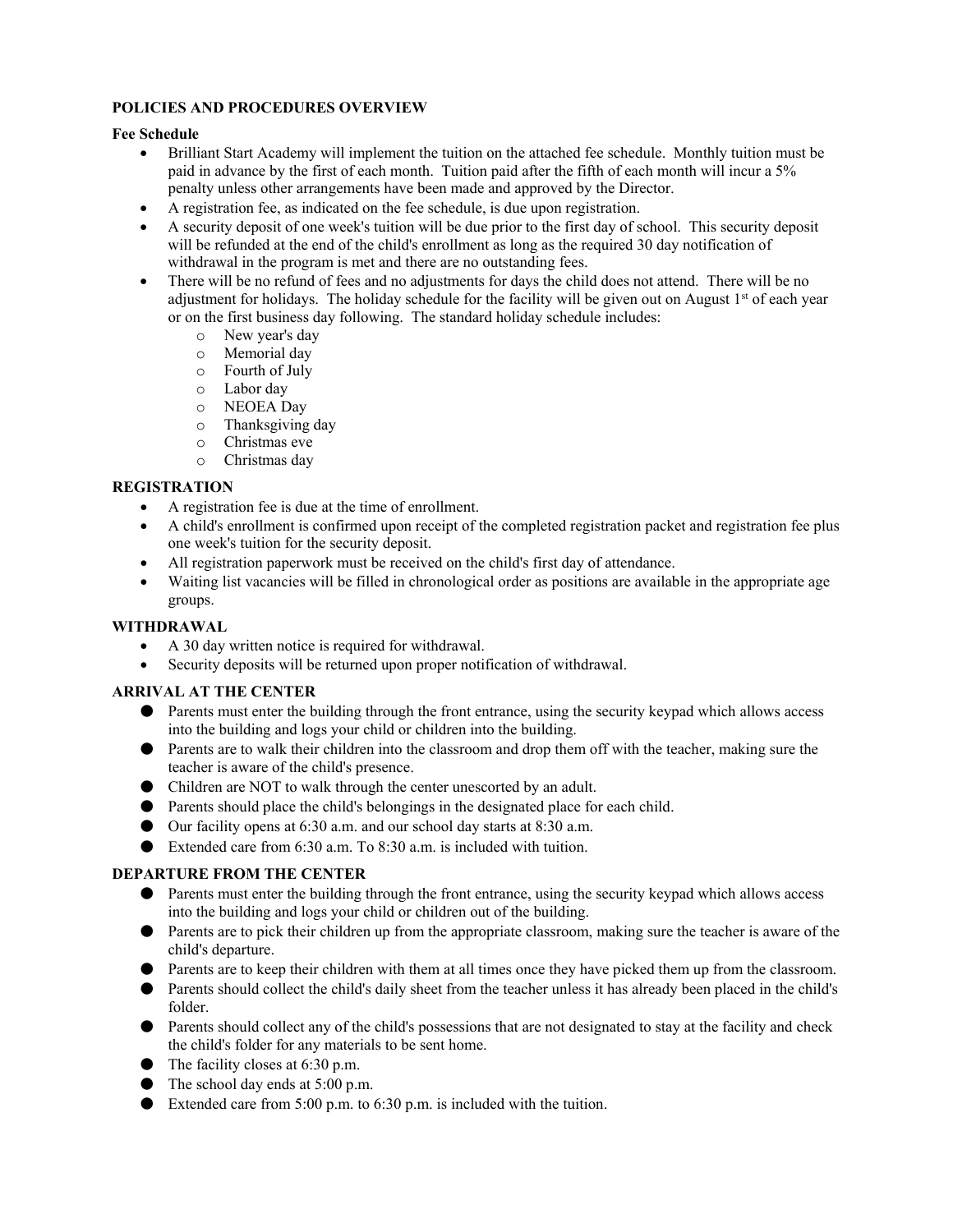# **POLICIES AND PROCEDURES OVERVIEW**

# **Fee Schedule**

- Brilliant Start Academy will implement the tuition on the attached fee schedule. Monthly tuition must be paid in advance by the first of each month. Tuition paid after the fifth of each month will incur a 5% penalty unless other arrangements have been made and approved by the Director.
- A registration fee, as indicated on the fee schedule, is due upon registration.
- A security deposit of one week's tuition will be due prior to the first day of school. This security deposit will be refunded at the end of the child's enrollment as long as the required 30 day notification of withdrawal in the program is met and there are no outstanding fees.
- There will be no refund of fees and no adjustments for days the child does not attend. There will be no adjustment for holidays. The holiday schedule for the facility will be given out on August  $1<sup>st</sup>$  of each year or on the first business day following. The standard holiday schedule includes:
	- o New year's day
	- Memorial day
	- o Fourth of July
	- o Labor day
	- o NEOEA Day
	- o Thanksgiving day
	- o Christmas eve
	- o Christmas day

# **REGISTRATION**

- A registration fee is due at the time of enrollment.
- A child's enrollment is confirmed upon receipt of the completed registration packet and registration fee plus one week's tuition for the security deposit.
- All registration paperwork must be received on the child's first day of attendance.
- Waiting list vacancies will be filled in chronological order as positions are available in the appropriate age groups.

# **WITHDRAWAL**

- A 30 day written notice is required for withdrawal.
- Security deposits will be returned upon proper notification of withdrawal.

# **ARRIVAL AT THE CENTER**

- Parents must enter the building through the front entrance, using the security keypad which allows access into the building and logs your child or children into the building.
- Parents are to walk their children into the classroom and drop them off with the teacher, making sure the teacher is aware of the child's presence.
- Children are NOT to walk through the center unescorted by an adult.
- Parents should place the child's belongings in the designated place for each child.
- Our facility opens at 6:30 a.m. and our school day starts at 8:30 a.m.
- Extended care from  $6:30$  a.m. To  $8:30$  a.m. is included with tuition.

# **DEPARTURE FROM THE CENTER**

- Parents must enter the building through the front entrance, using the security keypad which allows access into the building and logs your child or children out of the building.
- Parents are to pick their children up from the appropriate classroom, making sure the teacher is aware of the child's departure.
- Parents are to keep their children with them at all times once they have picked them up from the classroom.
- Parents should collect the child's daily sheet from the teacher unless it has already been placed in the child's folder.
- Parents should collect any of the child's possessions that are not designated to stay at the facility and check the child's folder for any materials to be sent home.
- $\bullet$  The facility closes at 6:30 p.m.
- The school day ends at 5:00 p.m.
- Extended care from 5:00 p.m. to 6:30 p.m. is included with the tuition.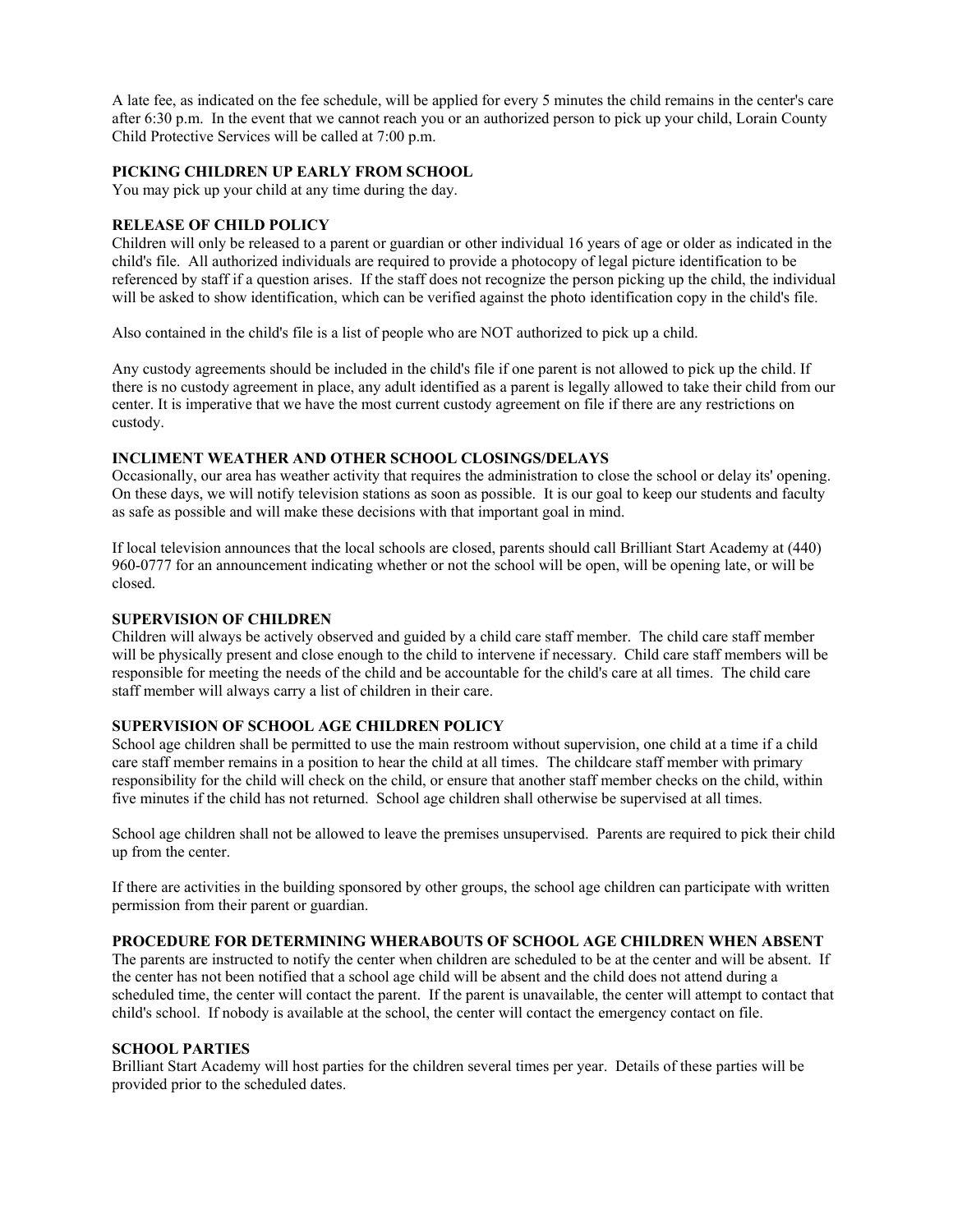A late fee, as indicated on the fee schedule, will be applied for every 5 minutes the child remains in the center's care after 6:30 p.m. In the event that we cannot reach you or an authorized person to pick up your child, Lorain County Child Protective Services will be called at 7:00 p.m.

## **PICKING CHILDREN UP EARLY FROM SCHOOL**

You may pick up your child at any time during the day.

# **RELEASE OF CHILD POLICY**

Children will only be released to a parent or guardian or other individual 16 years of age or older as indicated in the child's file. All authorized individuals are required to provide a photocopy of legal picture identification to be referenced by staff if a question arises. If the staff does not recognize the person picking up the child, the individual will be asked to show identification, which can be verified against the photo identification copy in the child's file.

Also contained in the child's file is a list of people who are NOT authorized to pick up a child.

Any custody agreements should be included in the child's file if one parent is not allowed to pick up the child. If there is no custody agreement in place, any adult identified as a parent is legally allowed to take their child from our center. It is imperative that we have the most current custody agreement on file if there are any restrictions on custody.

# **INCLIMENT WEATHER AND OTHER SCHOOL CLOSINGS/DELAYS**

Occasionally, our area has weather activity that requires the administration to close the school or delay its' opening. On these days, we will notify television stations as soon as possible. It is our goal to keep our students and faculty as safe as possible and will make these decisions with that important goal in mind.

If local television announces that the local schools are closed, parents should call Brilliant Start Academy at (440) 960-0777 for an announcement indicating whether or not the school will be open, will be opening late, or will be closed.

## **SUPERVISION OF CHILDREN**

Children will always be actively observed and guided by a child care staff member. The child care staff member will be physically present and close enough to the child to intervene if necessary. Child care staff members will be responsible for meeting the needs of the child and be accountable for the child's care at all times. The child care staff member will always carry a list of children in their care.

#### **SUPERVISION OF SCHOOL AGE CHILDREN POLICY**

School age children shall be permitted to use the main restroom without supervision, one child at a time if a child care staff member remains in a position to hear the child at all times. The childcare staff member with primary responsibility for the child will check on the child, or ensure that another staff member checks on the child, within five minutes if the child has not returned. School age children shall otherwise be supervised at all times.

School age children shall not be allowed to leave the premises unsupervised. Parents are required to pick their child up from the center.

If there are activities in the building sponsored by other groups, the school age children can participate with written permission from their parent or guardian.

#### **PROCEDURE FOR DETERMINING WHERABOUTS OF SCHOOL AGE CHILDREN WHEN ABSENT**

The parents are instructed to notify the center when children are scheduled to be at the center and will be absent. If the center has not been notified that a school age child will be absent and the child does not attend during a scheduled time, the center will contact the parent. If the parent is unavailable, the center will attempt to contact that child's school. If nobody is available at the school, the center will contact the emergency contact on file.

#### **SCHOOL PARTIES**

Brilliant Start Academy will host parties for the children several times per year. Details of these parties will be provided prior to the scheduled dates.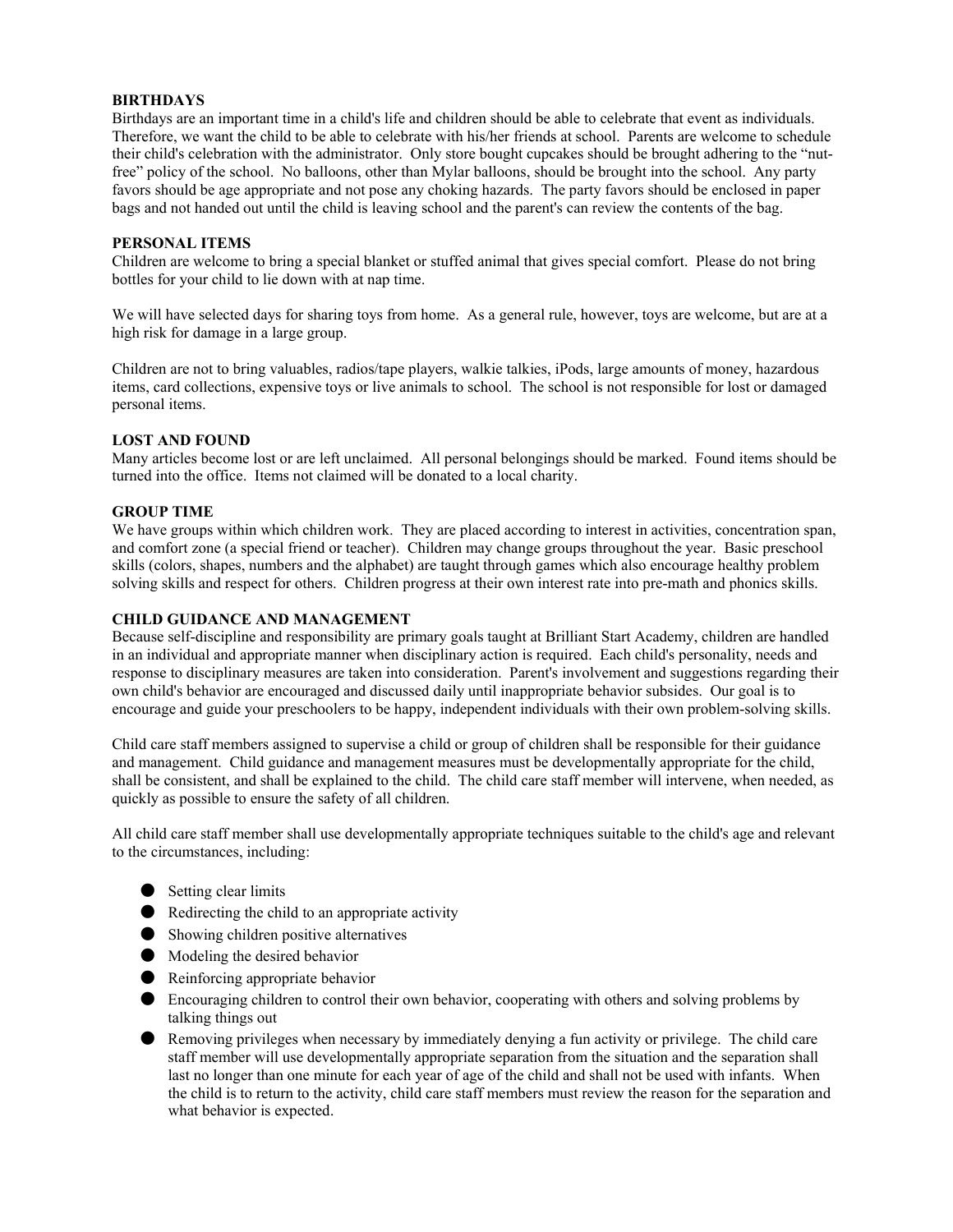# **BIRTHDAYS**

Birthdays are an important time in a child's life and children should be able to celebrate that event as individuals. Therefore, we want the child to be able to celebrate with his/her friends at school. Parents are welcome to schedule their child's celebration with the administrator. Only store bought cupcakes should be brought adhering to the "nutfree" policy of the school. No balloons, other than Mylar balloons, should be brought into the school. Any party favors should be age appropriate and not pose any choking hazards. The party favors should be enclosed in paper bags and not handed out until the child is leaving school and the parent's can review the contents of the bag.

# **PERSONAL ITEMS**

Children are welcome to bring a special blanket or stuffed animal that gives special comfort. Please do not bring bottles for your child to lie down with at nap time.

We will have selected days for sharing toys from home. As a general rule, however, toys are welcome, but are at a high risk for damage in a large group.

Children are not to bring valuables, radios/tape players, walkie talkies, iPods, large amounts of money, hazardous items, card collections, expensive toys or live animals to school. The school is not responsible for lost or damaged personal items.

## **LOST AND FOUND**

Many articles become lost or are left unclaimed. All personal belongings should be marked. Found items should be turned into the office. Items not claimed will be donated to a local charity.

#### **GROUP TIME**

We have groups within which children work. They are placed according to interest in activities, concentration span, and comfort zone (a special friend or teacher). Children may change groups throughout the year. Basic preschool skills (colors, shapes, numbers and the alphabet) are taught through games which also encourage healthy problem solving skills and respect for others. Children progress at their own interest rate into pre-math and phonics skills.

## **CHILD GUIDANCE AND MANAGEMENT**

Because self-discipline and responsibility are primary goals taught at Brilliant Start Academy, children are handled in an individual and appropriate manner when disciplinary action is required. Each child's personality, needs and response to disciplinary measures are taken into consideration. Parent's involvement and suggestions regarding their own child's behavior are encouraged and discussed daily until inappropriate behavior subsides. Our goal is to encourage and guide your preschoolers to be happy, independent individuals with their own problem-solving skills.

Child care staff members assigned to supervise a child or group of children shall be responsible for their guidance and management. Child guidance and management measures must be developmentally appropriate for the child, shall be consistent, and shall be explained to the child. The child care staff member will intervene, when needed, as quickly as possible to ensure the safety of all children.

All child care staff member shall use developmentally appropriate techniques suitable to the child's age and relevant to the circumstances, including:

- Setting clear limits
- Redirecting the child to an appropriate activity
- Showing children positive alternatives
- Modeling the desired behavior
- Reinforcing appropriate behavior
- Encouraging children to control their own behavior, cooperating with others and solving problems by talking things out
- Removing privileges when necessary by immediately denying a fun activity or privilege. The child care staff member will use developmentally appropriate separation from the situation and the separation shall last no longer than one minute for each year of age of the child and shall not be used with infants. When the child is to return to the activity, child care staff members must review the reason for the separation and what behavior is expected.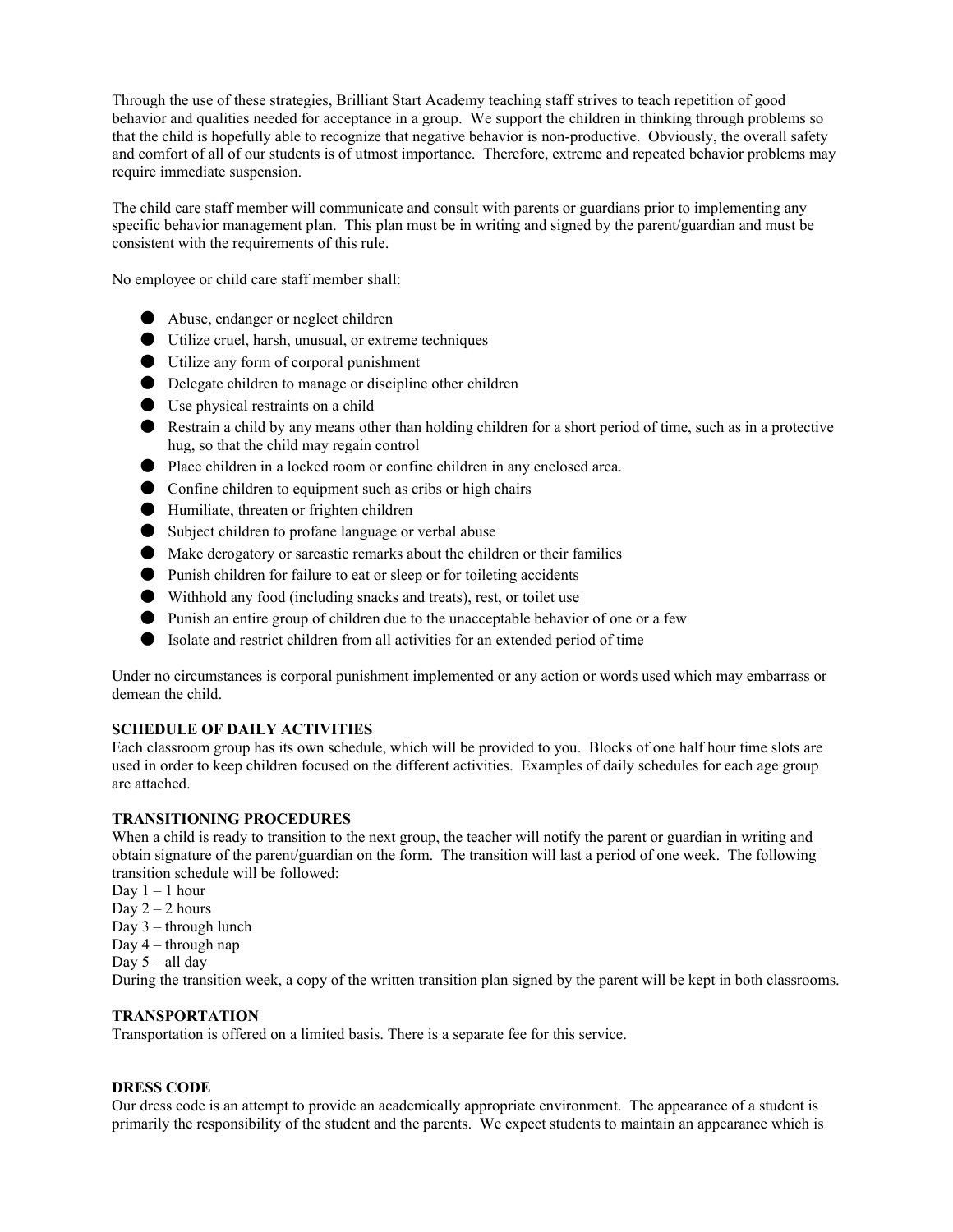Through the use of these strategies, Brilliant Start Academy teaching staff strives to teach repetition of good behavior and qualities needed for acceptance in a group. We support the children in thinking through problems so that the child is hopefully able to recognize that negative behavior is non-productive. Obviously, the overall safety and comfort of all of our students is of utmost importance. Therefore, extreme and repeated behavior problems may require immediate suspension.

The child care staff member will communicate and consult with parents or guardians prior to implementing any specific behavior management plan. This plan must be in writing and signed by the parent/guardian and must be consistent with the requirements of this rule.

No employee or child care staff member shall:

- Abuse, endanger or neglect children
- Utilize cruel, harsh, unusual, or extreme techniques
- Utilize any form of corporal punishment
- Delegate children to manage or discipline other children
- Use physical restraints on a child
- Restrain a child by any means other than holding children for a short period of time, such as in a protective hug, so that the child may regain control
- Place children in a locked room or confine children in any enclosed area.
- Confine children to equipment such as cribs or high chairs
- Humiliate, threaten or frighten children
- Subject children to profane language or verbal abuse
- Make derogatory or sarcastic remarks about the children or their families
- Punish children for failure to eat or sleep or for toileting accidents
- Withhold any food (including snacks and treats), rest, or toilet use
- Punish an entire group of children due to the unacceptable behavior of one or a few
- Isolate and restrict children from all activities for an extended period of time

Under no circumstances is corporal punishment implemented or any action or words used which may embarrass or demean the child.

## **SCHEDULE OF DAILY ACTIVITIES**

Each classroom group has its own schedule, which will be provided to you. Blocks of one half hour time slots are used in order to keep children focused on the different activities. Examples of daily schedules for each age group are attached.

#### **TRANSITIONING PROCEDURES**

When a child is ready to transition to the next group, the teacher will notify the parent or guardian in writing and obtain signature of the parent/guardian on the form. The transition will last a period of one week. The following transition schedule will be followed:

- Day  $1 1$  hour
- Day  $2 2$  hours
- Day 3 through lunch
- Day 4 through nap
- Day  $5 -$ all day

During the transition week, a copy of the written transition plan signed by the parent will be kept in both classrooms.

#### **TRANSPORTATION**

Transportation is offered on a limited basis. There is a separate fee for this service.

## **DRESS CODE**

Our dress code is an attempt to provide an academically appropriate environment. The appearance of a student is primarily the responsibility of the student and the parents. We expect students to maintain an appearance which is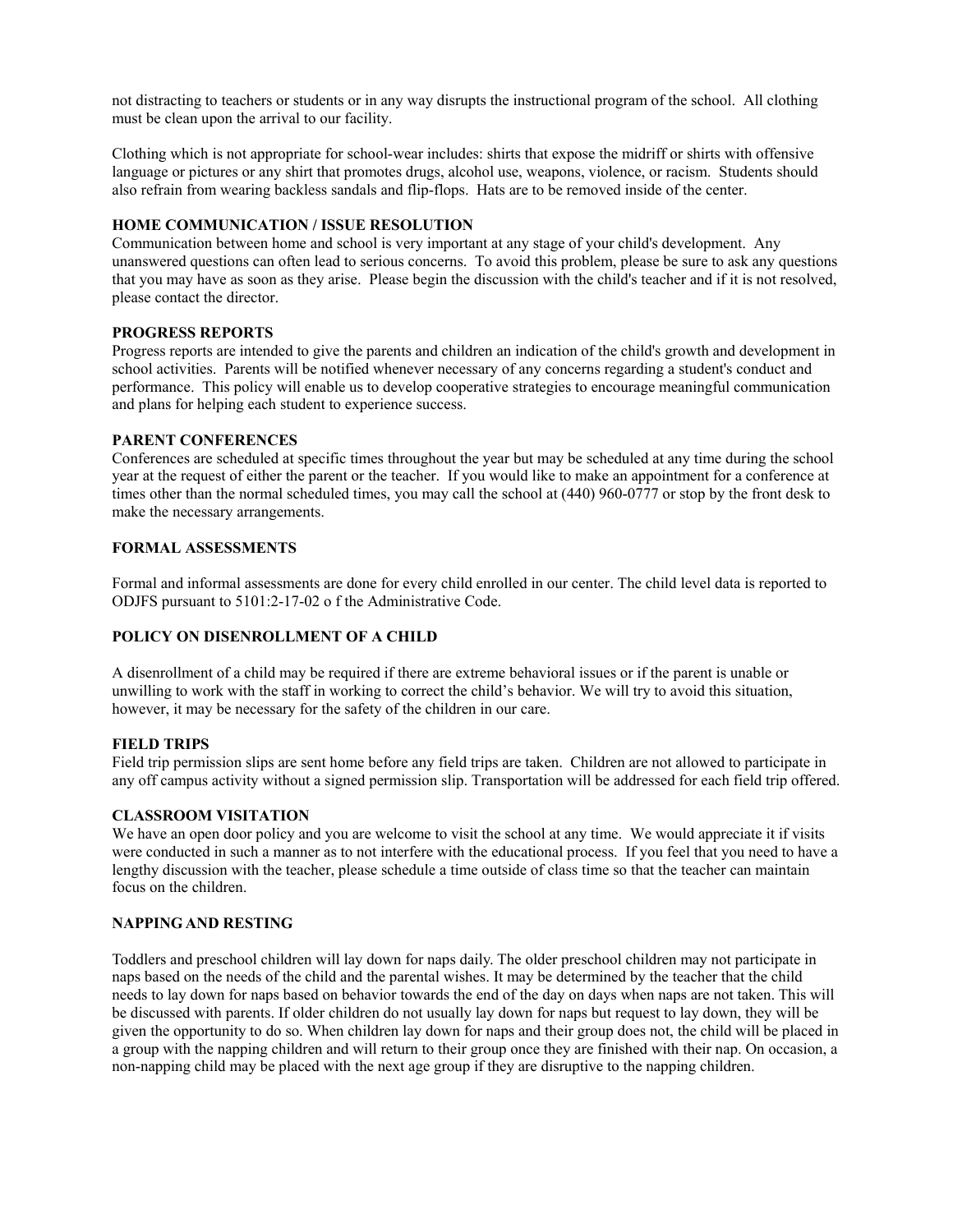not distracting to teachers or students or in any way disrupts the instructional program of the school. All clothing must be clean upon the arrival to our facility.

Clothing which is not appropriate for school-wear includes: shirts that expose the midriff or shirts with offensive language or pictures or any shirt that promotes drugs, alcohol use, weapons, violence, or racism. Students should also refrain from wearing backless sandals and flip-flops. Hats are to be removed inside of the center.

# **HOME COMMUNICATION / ISSUE RESOLUTION**

Communication between home and school is very important at any stage of your child's development. Any unanswered questions can often lead to serious concerns. To avoid this problem, please be sure to ask any questions that you may have as soon as they arise. Please begin the discussion with the child's teacher and if it is not resolved, please contact the director.

#### **PROGRESS REPORTS**

Progress reports are intended to give the parents and children an indication of the child's growth and development in school activities. Parents will be notified whenever necessary of any concerns regarding a student's conduct and performance. This policy will enable us to develop cooperative strategies to encourage meaningful communication and plans for helping each student to experience success.

## **PARENT CONFERENCES**

Conferences are scheduled at specific times throughout the year but may be scheduled at any time during the school year at the request of either the parent or the teacher. If you would like to make an appointment for a conference at times other than the normal scheduled times, you may call the school at (440) 960-0777 or stop by the front desk to make the necessary arrangements.

## **FORMAL ASSESSMENTS**

Formal and informal assessments are done for every child enrolled in our center. The child level data is reported to ODJFS pursuant to 5101:2-17-02 o f the Administrative Code.

# **POLICY ON DISENROLLMENT OF A CHILD**

A disenrollment of a child may be required if there are extreme behavioral issues or if the parent is unable or unwilling to work with the staff in working to correct the child's behavior. We will try to avoid this situation, however, it may be necessary for the safety of the children in our care.

#### **FIELD TRIPS**

Field trip permission slips are sent home before any field trips are taken. Children are not allowed to participate in any off campus activity without a signed permission slip. Transportation will be addressed for each field trip offered.

# **CLASSROOM VISITATION**

We have an open door policy and you are welcome to visit the school at any time. We would appreciate it if visits were conducted in such a manner as to not interfere with the educational process. If you feel that you need to have a lengthy discussion with the teacher, please schedule a time outside of class time so that the teacher can maintain focus on the children.

## **NAPPING AND RESTING**

Toddlers and preschool children will lay down for naps daily. The older preschool children may not participate in naps based on the needs of the child and the parental wishes. It may be determined by the teacher that the child needs to lay down for naps based on behavior towards the end of the day on days when naps are not taken. This will be discussed with parents. If older children do not usually lay down for naps but request to lay down, they will be given the opportunity to do so. When children lay down for naps and their group does not, the child will be placed in a group with the napping children and will return to their group once they are finished with their nap. On occasion, a non-napping child may be placed with the next age group if they are disruptive to the napping children.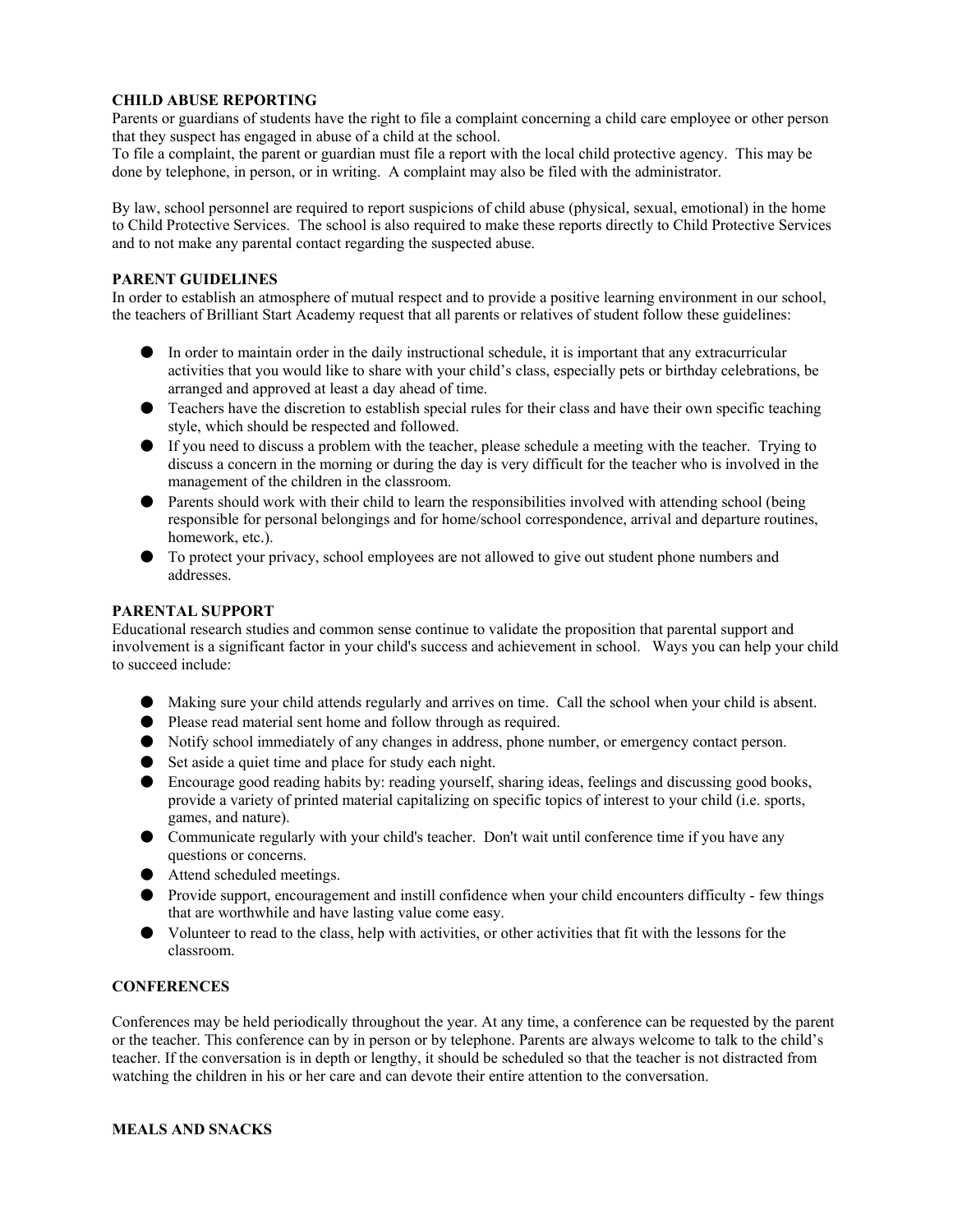# **CHILD ABUSE REPORTING**

Parents or guardians of students have the right to file a complaint concerning a child care employee or other person that they suspect has engaged in abuse of a child at the school.

To file a complaint, the parent or guardian must file a report with the local child protective agency. This may be done by telephone, in person, or in writing. A complaint may also be filed with the administrator.

By law, school personnel are required to report suspicions of child abuse (physical, sexual, emotional) in the home to Child Protective Services. The school is also required to make these reports directly to Child Protective Services and to not make any parental contact regarding the suspected abuse.

## **PARENT GUIDELINES**

In order to establish an atmosphere of mutual respect and to provide a positive learning environment in our school, the teachers of Brilliant Start Academy request that all parents or relatives of student follow these guidelines:

- In order to maintain order in the daily instructional schedule, it is important that any extracurricular activities that you would like to share with your child's class, especially pets or birthday celebrations, be arranged and approved at least a day ahead of time.
- Teachers have the discretion to establish special rules for their class and have their own specific teaching style, which should be respected and followed.
- If you need to discuss a problem with the teacher, please schedule a meeting with the teacher. Trying to discuss a concern in the morning or during the day is very difficult for the teacher who is involved in the management of the children in the classroom.
- Parents should work with their child to learn the responsibilities involved with attending school (being responsible for personal belongings and for home/school correspondence, arrival and departure routines, homework, etc.).
- To protect your privacy, school employees are not allowed to give out student phone numbers and addresses.

# **PARENTAL SUPPORT**

Educational research studies and common sense continue to validate the proposition that parental support and involvement is a significant factor in your child's success and achievement in school. Ways you can help your child to succeed include:

- Making sure your child attends regularly and arrives on time. Call the school when your child is absent.
- Please read material sent home and follow through as required.
- Notify school immediately of any changes in address, phone number, or emergency contact person.
- Set aside a quiet time and place for study each night.
- Encourage good reading habits by: reading yourself, sharing ideas, feelings and discussing good books, provide a variety of printed material capitalizing on specific topics of interest to your child (i.e. sports, games, and nature).
- Communicate regularly with your child's teacher. Don't wait until conference time if you have any questions or concerns.
- Attend scheduled meetings.
- Provide support, encouragement and instill confidence when your child encounters difficulty few things that are worthwhile and have lasting value come easy.
- Volunteer to read to the class, help with activities, or other activities that fit with the lessons for the classroom.

## **CONFERENCES**

Conferences may be held periodically throughout the year. At any time, a conference can be requested by the parent or the teacher. This conference can by in person or by telephone. Parents are always welcome to talk to the child's teacher. If the conversation is in depth or lengthy, it should be scheduled so that the teacher is not distracted from watching the children in his or her care and can devote their entire attention to the conversation.

#### **MEALS AND SNACKS**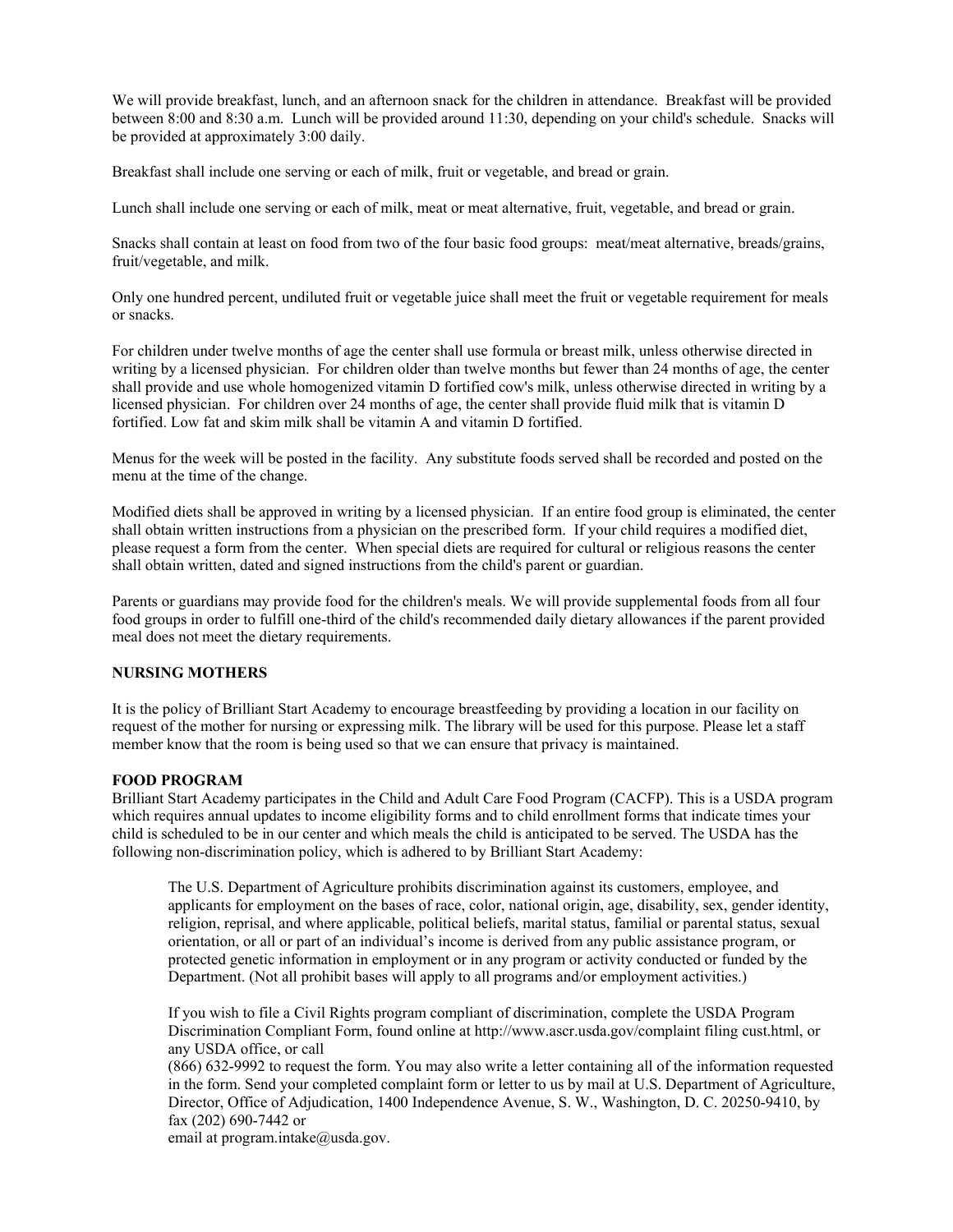We will provide breakfast, lunch, and an afternoon snack for the children in attendance. Breakfast will be provided between 8:00 and 8:30 a.m. Lunch will be provided around 11:30, depending on your child's schedule. Snacks will be provided at approximately 3:00 daily.

Breakfast shall include one serving or each of milk, fruit or vegetable, and bread or grain.

Lunch shall include one serving or each of milk, meat or meat alternative, fruit, vegetable, and bread or grain.

Snacks shall contain at least on food from two of the four basic food groups: meat/meat alternative, breads/grains, fruit/vegetable, and milk.

Only one hundred percent, undiluted fruit or vegetable juice shall meet the fruit or vegetable requirement for meals or snacks.

For children under twelve months of age the center shall use formula or breast milk, unless otherwise directed in writing by a licensed physician. For children older than twelve months but fewer than 24 months of age, the center shall provide and use whole homogenized vitamin D fortified cow's milk, unless otherwise directed in writing by a licensed physician. For children over 24 months of age, the center shall provide fluid milk that is vitamin D fortified. Low fat and skim milk shall be vitamin A and vitamin D fortified.

Menus for the week will be posted in the facility. Any substitute foods served shall be recorded and posted on the menu at the time of the change.

Modified diets shall be approved in writing by a licensed physician. If an entire food group is eliminated, the center shall obtain written instructions from a physician on the prescribed form. If your child requires a modified diet, please request a form from the center. When special diets are required for cultural or religious reasons the center shall obtain written, dated and signed instructions from the child's parent or guardian.

Parents or guardians may provide food for the children's meals. We will provide supplemental foods from all four food groups in order to fulfill one-third of the child's recommended daily dietary allowances if the parent provided meal does not meet the dietary requirements.

#### **NURSING MOTHERS**

It is the policy of Brilliant Start Academy to encourage breastfeeding by providing a location in our facility on request of the mother for nursing or expressing milk. The library will be used for this purpose. Please let a staff member know that the room is being used so that we can ensure that privacy is maintained.

# **FOOD PROGRAM**

Brilliant Start Academy participates in the Child and Adult Care Food Program (CACFP). This is a USDA program which requires annual updates to income eligibility forms and to child enrollment forms that indicate times your child is scheduled to be in our center and which meals the child is anticipated to be served. The USDA has the following non-discrimination policy, which is adhered to by Brilliant Start Academy:

The U.S. Department of Agriculture prohibits discrimination against its customers, employee, and applicants for employment on the bases of race, color, national origin, age, disability, sex, gender identity, religion, reprisal, and where applicable, political beliefs, marital status, familial or parental status, sexual orientation, or all or part of an individual's income is derived from any public assistance program, or protected genetic information in employment or in any program or activity conducted or funded by the Department. (Not all prohibit bases will apply to all programs and/or employment activities.)

If you wish to file a Civil Rights program compliant of discrimination, complete the USDA Program Discrimination Compliant Form, found online at http://www.ascr.usda.gov/complaint filing cust.html, or any USDA office, or call

(866) 632-9992 to request the form. You may also write a letter containing all of the information requested in the form. Send your completed complaint form or letter to us by mail at U.S. Department of Agriculture, Director, Office of Adjudication, 1400 Independence Avenue, S. W., Washington, D. C. 20250-9410, by fax (202) 690-7442 or

email at program.intake@usda.gov.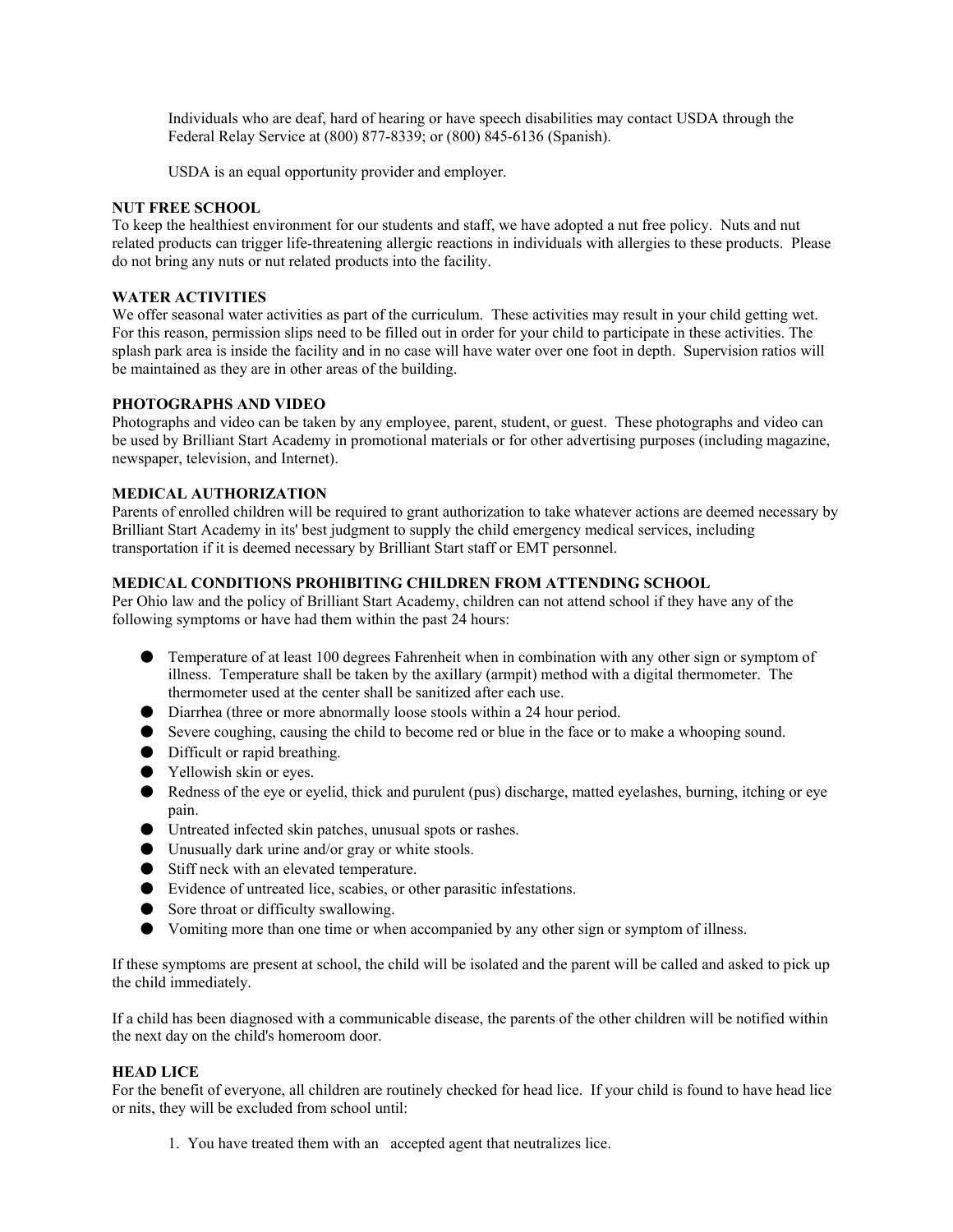Individuals who are deaf, hard of hearing or have speech disabilities may contact USDA through the Federal Relay Service at (800) 877-8339; or (800) 845-6136 (Spanish).

USDA is an equal opportunity provider and employer.

# **NUT FREE SCHOOL**

To keep the healthiest environment for our students and staff, we have adopted a nut free policy. Nuts and nut related products can trigger life-threatening allergic reactions in individuals with allergies to these products. Please do not bring any nuts or nut related products into the facility.

## **WATER ACTIVITIES**

We offer seasonal water activities as part of the curriculum. These activities may result in your child getting wet. For this reason, permission slips need to be filled out in order for your child to participate in these activities. The splash park area is inside the facility and in no case will have water over one foot in depth. Supervision ratios will be maintained as they are in other areas of the building.

## **PHOTOGRAPHS AND VIDEO**

Photographs and video can be taken by any employee, parent, student, or guest. These photographs and video can be used by Brilliant Start Academy in promotional materials or for other advertising purposes (including magazine, newspaper, television, and Internet).

## **MEDICAL AUTHORIZATION**

Parents of enrolled children will be required to grant authorization to take whatever actions are deemed necessary by Brilliant Start Academy in its' best judgment to supply the child emergency medical services, including transportation if it is deemed necessary by Brilliant Start staff or EMT personnel.

# **MEDICAL CONDITIONS PROHIBITING CHILDREN FROM ATTENDING SCHOOL**

Per Ohio law and the policy of Brilliant Start Academy, children can not attend school if they have any of the following symptoms or have had them within the past 24 hours:

- Temperature of at least 100 degrees Fahrenheit when in combination with any other sign or symptom of illness. Temperature shall be taken by the axillary (armpit) method with a digital thermometer. The thermometer used at the center shall be sanitized after each use.
- Diarrhea (three or more abnormally loose stools within a 24 hour period.
- Severe coughing, causing the child to become red or blue in the face or to make a whooping sound.
- Difficult or rapid breathing.
- Yellowish skin or eyes.
- Redness of the eye or eyelid, thick and purulent (pus) discharge, matted eyelashes, burning, itching or eye pain.
- Untreated infected skin patches, unusual spots or rashes.
- Unusually dark urine and/or gray or white stools.
- Stiff neck with an elevated temperature.
- Evidence of untreated lice, scabies, or other parasitic infestations.
- Sore throat or difficulty swallowing.
- Vomiting more than one time or when accompanied by any other sign or symptom of illness.

If these symptoms are present at school, the child will be isolated and the parent will be called and asked to pick up the child immediately.

If a child has been diagnosed with a communicable disease, the parents of the other children will be notified within the next day on the child's homeroom door.

#### **HEAD LICE**

For the benefit of everyone, all children are routinely checked for head lice. If your child is found to have head lice or nits, they will be excluded from school until:

1. You have treated them with an accepted agent that neutralizes lice.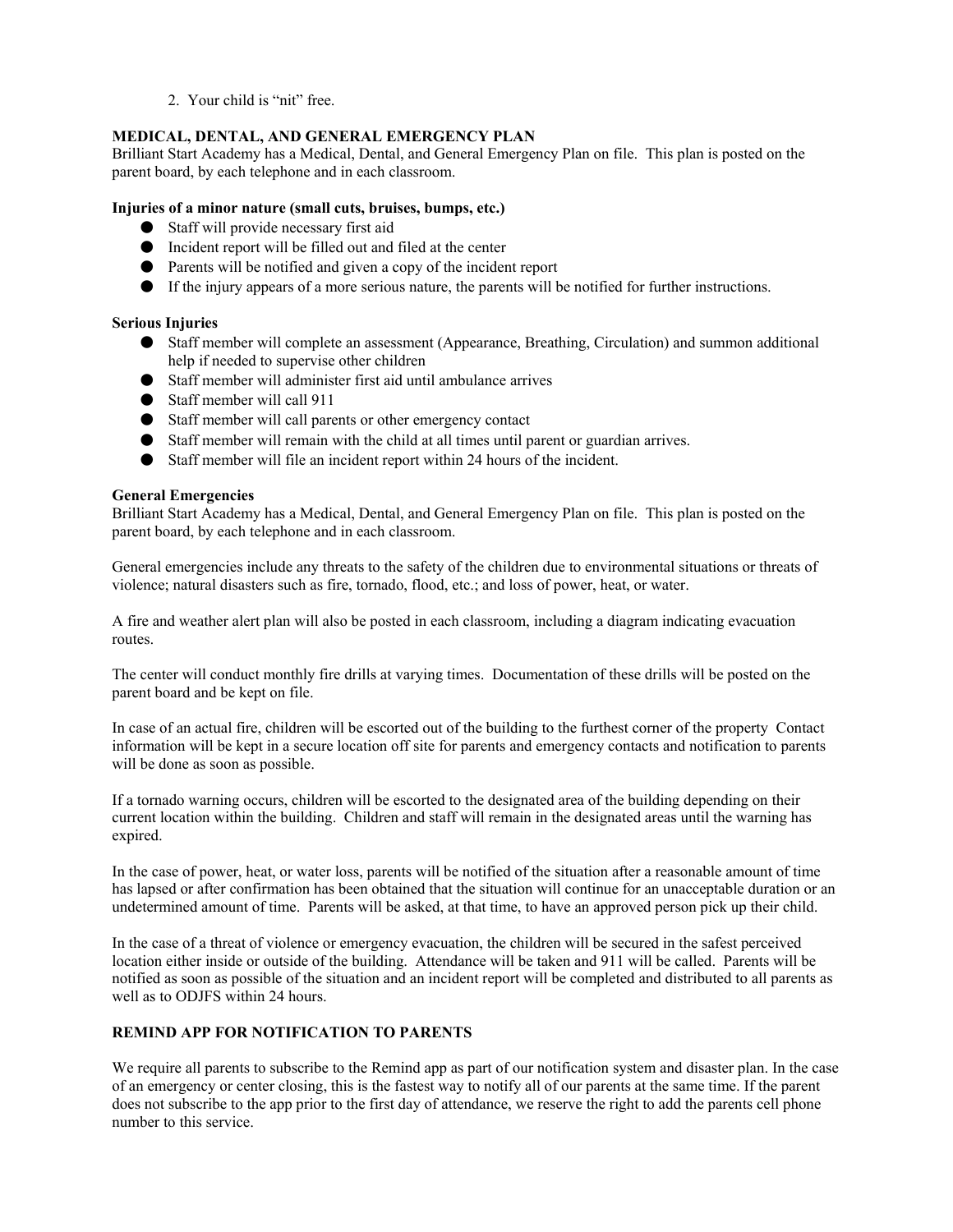2. Your child is "nit" free.

# **MEDICAL, DENTAL, AND GENERAL EMERGENCY PLAN**

Brilliant Start Academy has a Medical, Dental, and General Emergency Plan on file. This plan is posted on the parent board, by each telephone and in each classroom.

# **Injuries of a minor nature (small cuts, bruises, bumps, etc.)**

- Staff will provide necessary first aid
- Incident report will be filled out and filed at the center
- Parents will be notified and given a copy of the incident report
- If the injury appears of a more serious nature, the parents will be notified for further instructions.

# **Serious Injuries**

- Staff member will complete an assessment (Appearance, Breathing, Circulation) and summon additional help if needed to supervise other children
- Staff member will administer first aid until ambulance arrives
- Staff member will call 911
- Staff member will call parents or other emergency contact
- Staff member will remain with the child at all times until parent or guardian arrives.
- Staff member will file an incident report within 24 hours of the incident.

## **General Emergencies**

Brilliant Start Academy has a Medical, Dental, and General Emergency Plan on file. This plan is posted on the parent board, by each telephone and in each classroom.

General emergencies include any threats to the safety of the children due to environmental situations or threats of violence; natural disasters such as fire, tornado, flood, etc.; and loss of power, heat, or water.

A fire and weather alert plan will also be posted in each classroom, including a diagram indicating evacuation routes.

The center will conduct monthly fire drills at varying times. Documentation of these drills will be posted on the parent board and be kept on file.

In case of an actual fire, children will be escorted out of the building to the furthest corner of the property Contact information will be kept in a secure location off site for parents and emergency contacts and notification to parents will be done as soon as possible.

If a tornado warning occurs, children will be escorted to the designated area of the building depending on their current location within the building. Children and staff will remain in the designated areas until the warning has expired.

In the case of power, heat, or water loss, parents will be notified of the situation after a reasonable amount of time has lapsed or after confirmation has been obtained that the situation will continue for an unacceptable duration or an undetermined amount of time. Parents will be asked, at that time, to have an approved person pick up their child.

In the case of a threat of violence or emergency evacuation, the children will be secured in the safest perceived location either inside or outside of the building. Attendance will be taken and 911 will be called. Parents will be notified as soon as possible of the situation and an incident report will be completed and distributed to all parents as well as to ODJFS within 24 hours.

# **REMIND APP FOR NOTIFICATION TO PARENTS**

We require all parents to subscribe to the Remind app as part of our notification system and disaster plan. In the case of an emergency or center closing, this is the fastest way to notify all of our parents at the same time. If the parent does not subscribe to the app prior to the first day of attendance, we reserve the right to add the parents cell phone number to this service.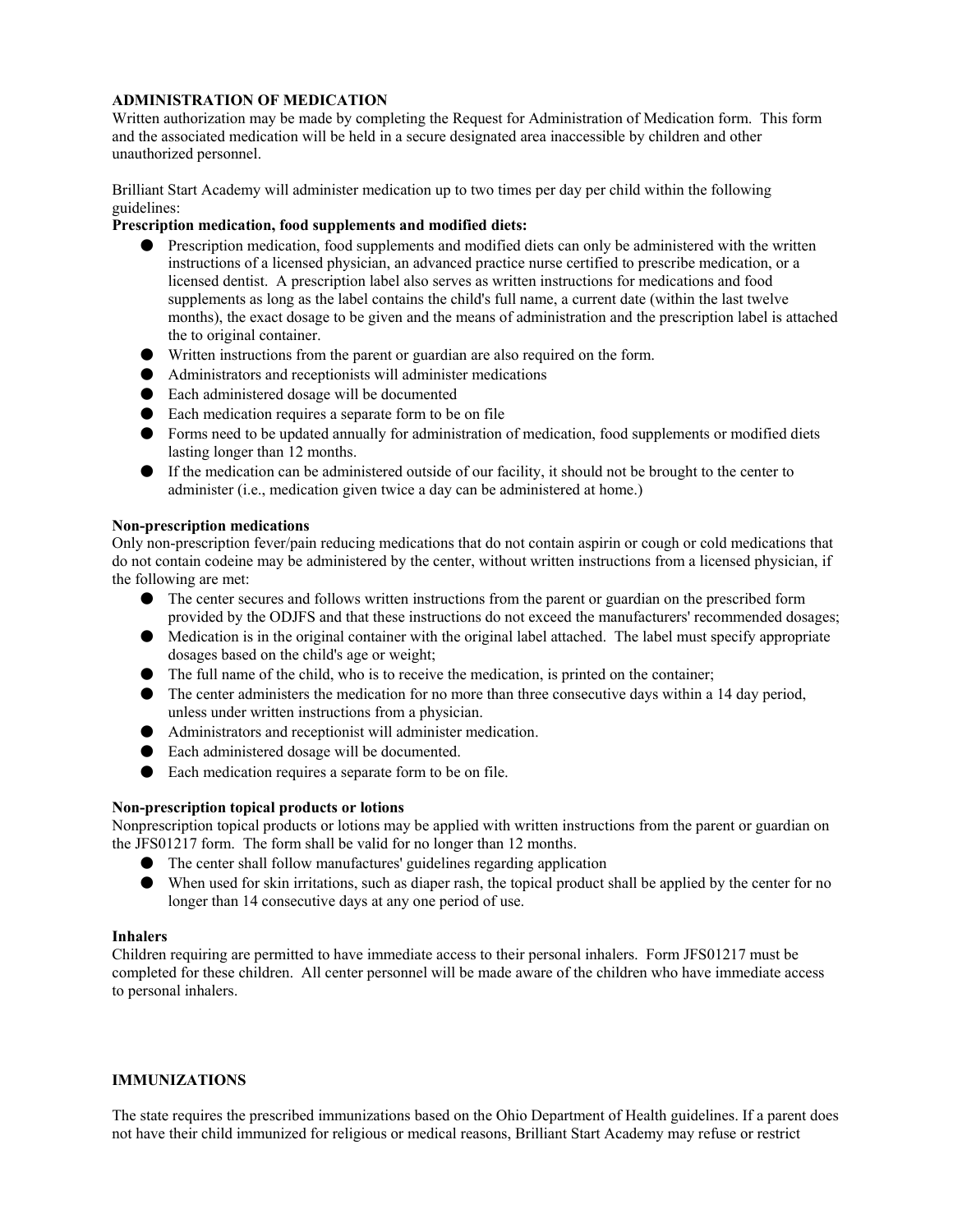# **ADMINISTRATION OF MEDICATION**

Written authorization may be made by completing the Request for Administration of Medication form. This form and the associated medication will be held in a secure designated area inaccessible by children and other unauthorized personnel.

Brilliant Start Academy will administer medication up to two times per day per child within the following guidelines:

# **Prescription medication, food supplements and modified diets:**

- Prescription medication, food supplements and modified diets can only be administered with the written instructions of a licensed physician, an advanced practice nurse certified to prescribe medication, or a licensed dentist. A prescription label also serves as written instructions for medications and food supplements as long as the label contains the child's full name, a current date (within the last twelve months), the exact dosage to be given and the means of administration and the prescription label is attached the to original container.
- Written instructions from the parent or guardian are also required on the form.
- Administrators and receptionists will administer medications
- Each administered dosage will be documented
- Each medication requires a separate form to be on file
- Forms need to be updated annually for administration of medication, food supplements or modified diets lasting longer than 12 months.
- If the medication can be administered outside of our facility, it should not be brought to the center to administer (i.e., medication given twice a day can be administered at home.)

#### **Non-prescription medications**

Only non-prescription fever/pain reducing medications that do not contain aspirin or cough or cold medications that do not contain codeine may be administered by the center, without written instructions from a licensed physician, if the following are met:

- The center secures and follows written instructions from the parent or guardian on the prescribed form provided by the ODJFS and that these instructions do not exceed the manufacturers' recommended dosages;
- Medication is in the original container with the original label attached. The label must specify appropriate dosages based on the child's age or weight;
- The full name of the child, who is to receive the medication, is printed on the container;
- The center administers the medication for no more than three consecutive days within a 14 day period, unless under written instructions from a physician.
- Administrators and receptionist will administer medication.
- Each administered dosage will be documented.
- Each medication requires a separate form to be on file.

#### **Non-prescription topical products or lotions**

Nonprescription topical products or lotions may be applied with written instructions from the parent or guardian on the JFS01217 form. The form shall be valid for no longer than 12 months.

- The center shall follow manufactures' guidelines regarding application
- When used for skin irritations, such as diaper rash, the topical product shall be applied by the center for no longer than 14 consecutive days at any one period of use.

#### **Inhalers**

Children requiring are permitted to have immediate access to their personal inhalers. Form JFS01217 must be completed for these children. All center personnel will be made aware of the children who have immediate access to personal inhalers.

#### **IMMUNIZATIONS**

The state requires the prescribed immunizations based on the Ohio Department of Health guidelines. If a parent does not have their child immunized for religious or medical reasons, Brilliant Start Academy may refuse or restrict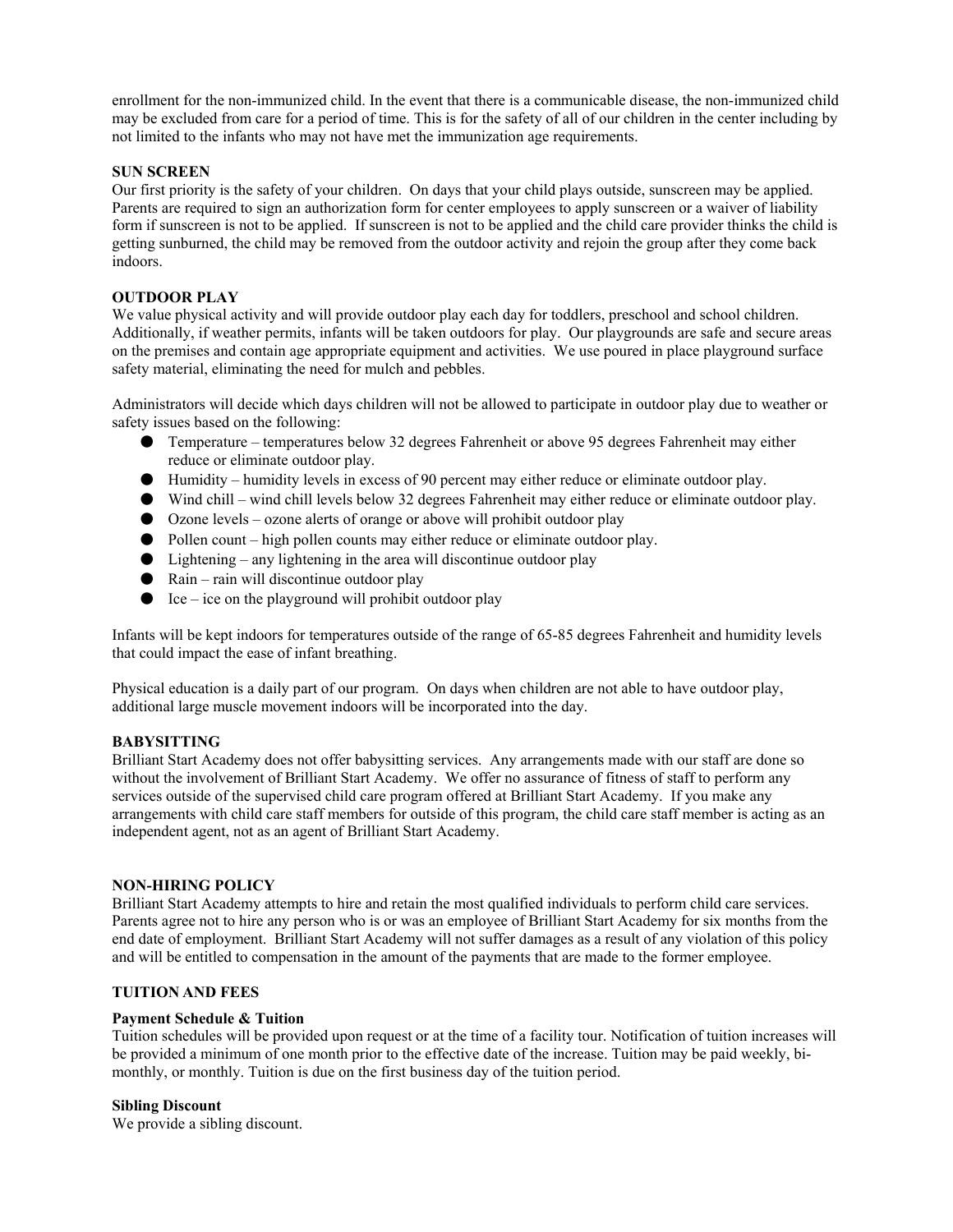enrollment for the non-immunized child. In the event that there is a communicable disease, the non-immunized child may be excluded from care for a period of time. This is for the safety of all of our children in the center including by not limited to the infants who may not have met the immunization age requirements.

## **SUN SCREEN**

Our first priority is the safety of your children. On days that your child plays outside, sunscreen may be applied. Parents are required to sign an authorization form for center employees to apply sunscreen or a waiver of liability form if sunscreen is not to be applied. If sunscreen is not to be applied and the child care provider thinks the child is getting sunburned, the child may be removed from the outdoor activity and rejoin the group after they come back indoors.

# **OUTDOOR PLAY**

We value physical activity and will provide outdoor play each day for toddlers, preschool and school children. Additionally, if weather permits, infants will be taken outdoors for play. Our playgrounds are safe and secure areas on the premises and contain age appropriate equipment and activities. We use poured in place playground surface safety material, eliminating the need for mulch and pebbles.

Administrators will decide which days children will not be allowed to participate in outdoor play due to weather or safety issues based on the following:

- Temperature temperatures below 32 degrees Fahrenheit or above 95 degrees Fahrenheit may either reduce or eliminate outdoor play.
- Humidity humidity levels in excess of 90 percent may either reduce or eliminate outdoor play.
- Wind chill wind chill levels below 32 degrees Fahrenheit may either reduce or eliminate outdoor play.
- Ozone levels ozone alerts of orange or above will prohibit outdoor play
- Pollen count high pollen counts may either reduce or eliminate outdoor play.
- $\bullet$  Lightening any lightening in the area will discontinue outdoor play
- $\bullet$  Rain rain will discontinue outdoor play
- $\bullet$  Ice ice on the playground will prohibit outdoor play

Infants will be kept indoors for temperatures outside of the range of 65-85 degrees Fahrenheit and humidity levels that could impact the ease of infant breathing.

Physical education is a daily part of our program. On days when children are not able to have outdoor play, additional large muscle movement indoors will be incorporated into the day.

#### **BABYSITTING**

Brilliant Start Academy does not offer babysitting services. Any arrangements made with our staff are done so without the involvement of Brilliant Start Academy. We offer no assurance of fitness of staff to perform any services outside of the supervised child care program offered at Brilliant Start Academy. If you make any arrangements with child care staff members for outside of this program, the child care staff member is acting as an independent agent, not as an agent of Brilliant Start Academy.

## **NON-HIRING POLICY**

Brilliant Start Academy attempts to hire and retain the most qualified individuals to perform child care services. Parents agree not to hire any person who is or was an employee of Brilliant Start Academy for six months from the end date of employment. Brilliant Start Academy will not suffer damages as a result of any violation of this policy and will be entitled to compensation in the amount of the payments that are made to the former employee.

#### **TUITION AND FEES**

#### **Payment Schedule & Tuition**

Tuition schedules will be provided upon request or at the time of a facility tour. Notification of tuition increases will be provided a minimum of one month prior to the effective date of the increase. Tuition may be paid weekly, bimonthly, or monthly. Tuition is due on the first business day of the tuition period.

#### **Sibling Discount**

We provide a sibling discount.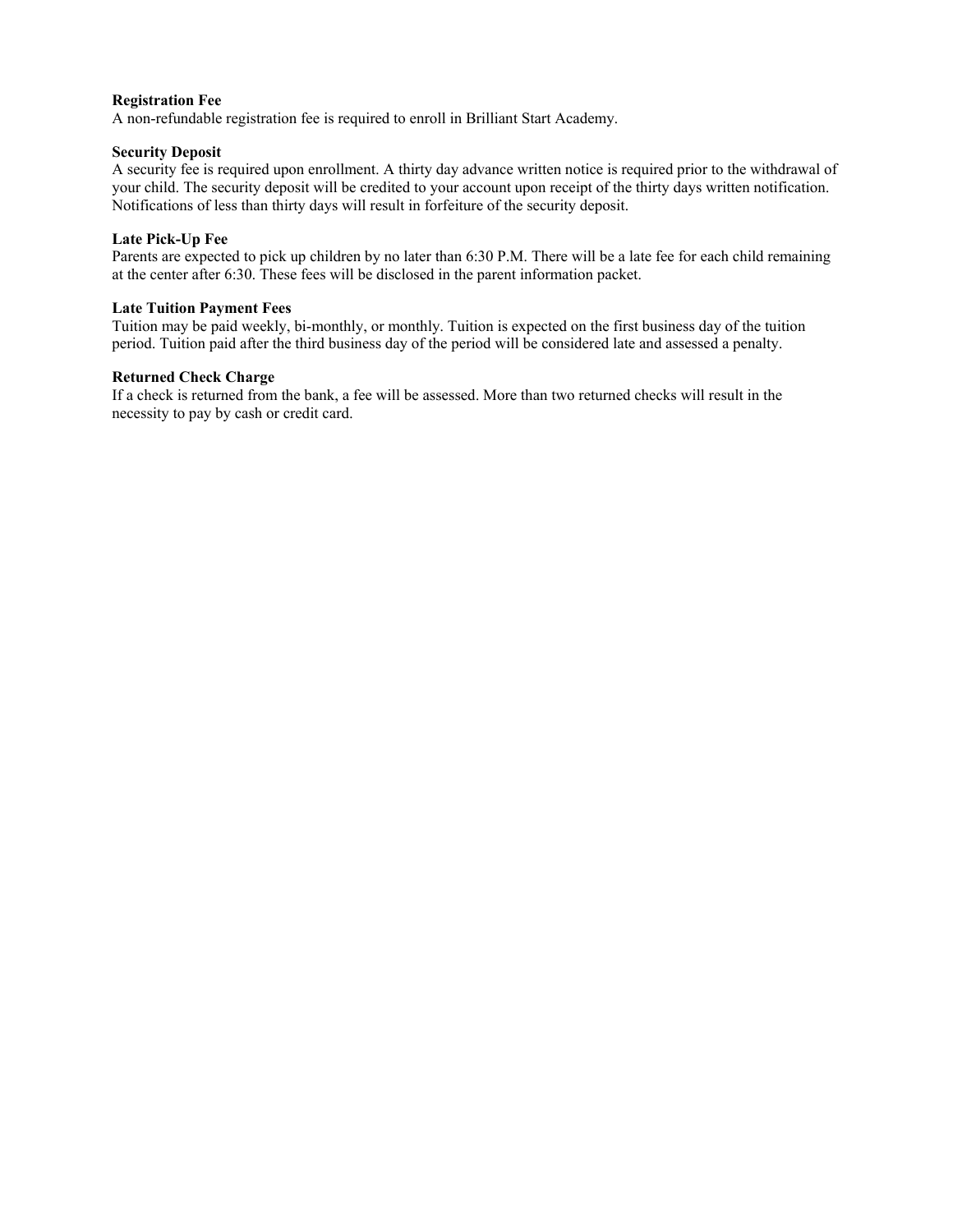# **Registration Fee**

A non-refundable registration fee is required to enroll in Brilliant Start Academy.

## **Security Deposit**

A security fee is required upon enrollment. A thirty day advance written notice is required prior to the withdrawal of your child. The security deposit will be credited to your account upon receipt of the thirty days written notification. Notifications of less than thirty days will result in forfeiture of the security deposit.

# **Late Pick-Up Fee**

Parents are expected to pick up children by no later than 6:30 P.M. There will be a late fee for each child remaining at the center after 6:30. These fees will be disclosed in the parent information packet.

#### **Late Tuition Payment Fees**

Tuition may be paid weekly, bi-monthly, or monthly. Tuition is expected on the first business day of the tuition period. Tuition paid after the third business day of the period will be considered late and assessed a penalty.

## **Returned Check Charge**

If a check is returned from the bank, a fee will be assessed. More than two returned checks will result in the necessity to pay by cash or credit card.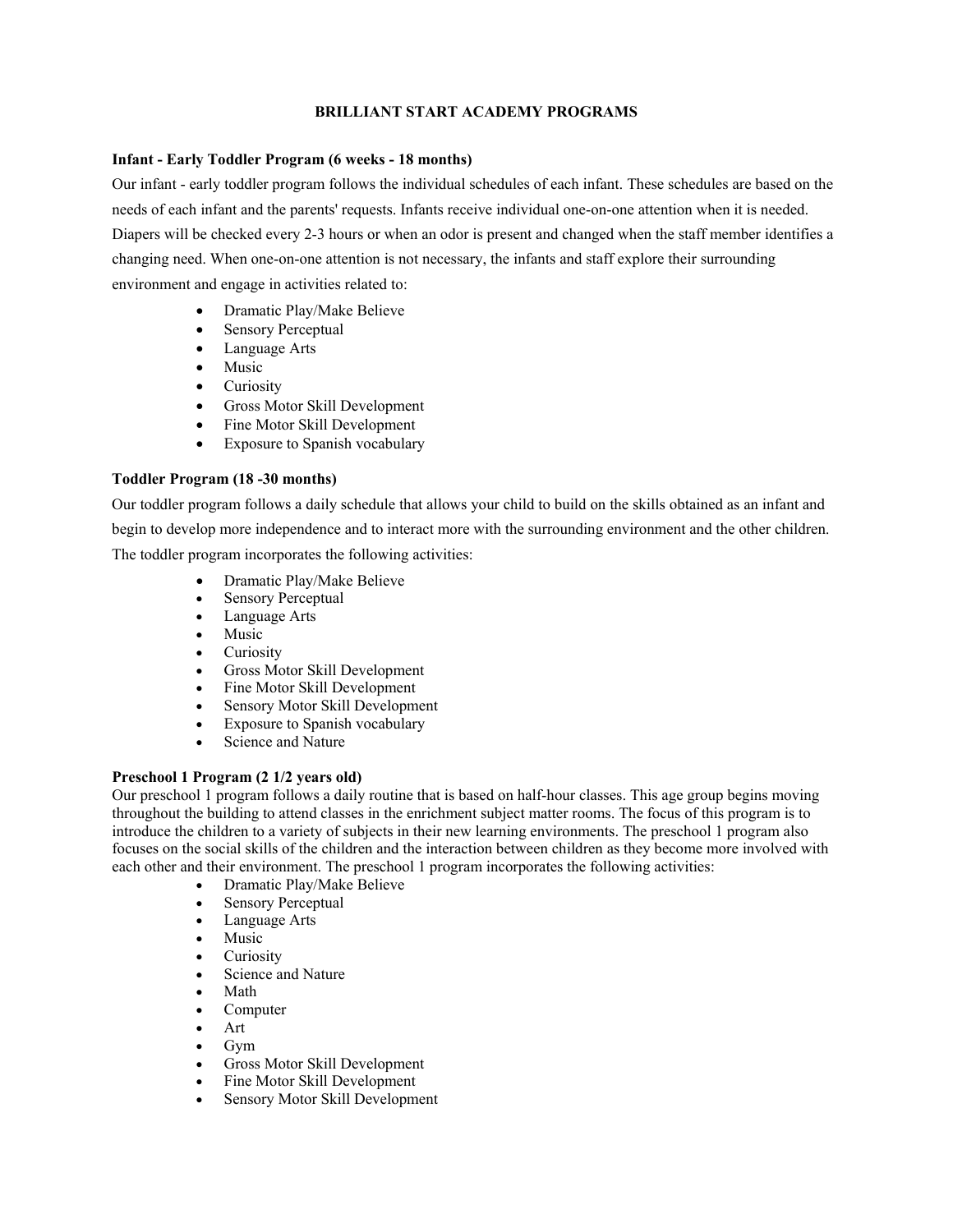# **BRILLIANT START ACADEMY PROGRAMS**

# **Infant - Early Toddler Program (6 weeks - 18 months)**

Our infant - early toddler program follows the individual schedules of each infant. These schedules are based on the needs of each infant and the parents' requests. Infants receive individual one-on-one attention when it is needed. Diapers will be checked every 2-3 hours or when an odor is present and changed when the staff member identifies a changing need. When one-on-one attention is not necessary, the infants and staff explore their surrounding environment and engage in activities related to:

- Dramatic Play/Make Believe
- Sensory Perceptual
- Language Arts
- Music
- Curiosity
- Gross Motor Skill Development
- Fine Motor Skill Development
- Exposure to Spanish vocabulary

# **Toddler Program (18 -30 months)**

Our toddler program follows a daily schedule that allows your child to build on the skills obtained as an infant and begin to develop more independence and to interact more with the surrounding environment and the other children. The toddler program incorporates the following activities:

- Dramatic Play/Make Believe
- Sensory Perceptual
- Language Arts
- Music
- Curiosity
- Gross Motor Skill Development
- Fine Motor Skill Development
- Sensory Motor Skill Development
- Exposure to Spanish vocabulary
- Science and Nature

# **Preschool 1 Program (2 1/2 years old)**

Our preschool 1 program follows a daily routine that is based on half-hour classes. This age group begins moving throughout the building to attend classes in the enrichment subject matter rooms. The focus of this program is to introduce the children to a variety of subjects in their new learning environments. The preschool 1 program also focuses on the social skills of the children and the interaction between children as they become more involved with each other and their environment. The preschool 1 program incorporates the following activities:

- Dramatic Play/Make Believe
- Sensory Perceptual
- Language Arts
- Music
- **Curiosity**
- Science and Nature
- Math
- Computer
- Art
- Gym
- Gross Motor Skill Development
- Fine Motor Skill Development
- Sensory Motor Skill Development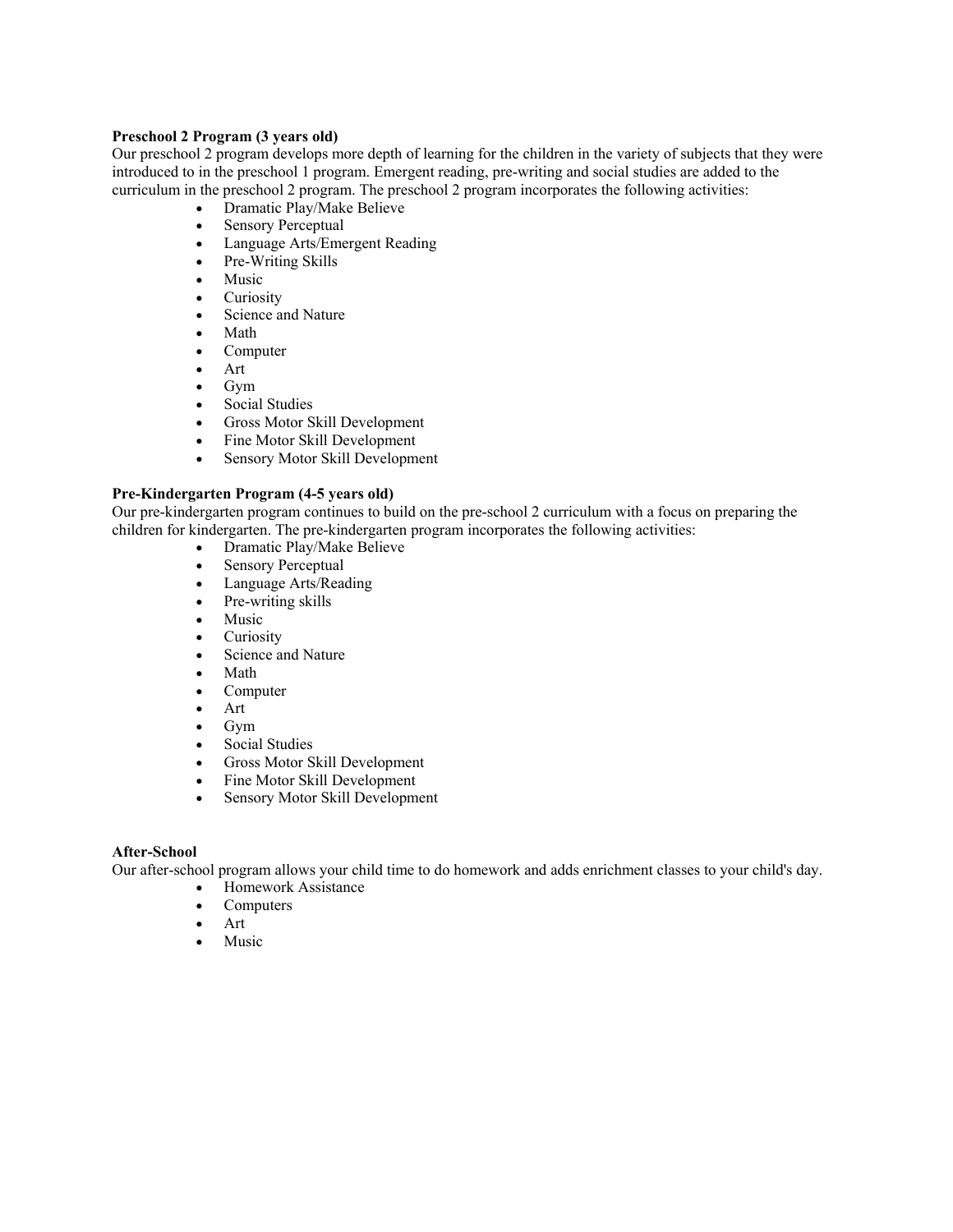# **Preschool 2 Program (3 years old)**

Our preschool 2 program develops more depth of learning for the children in the variety of subjects that they were introduced to in the preschool 1 program. Emergent reading, pre-writing and social studies are added to the curriculum in the preschool 2 program. The preschool 2 program incorporates the following activities:

- Dramatic Play/Make Believe
- Sensory Perceptual
- Language Arts/Emergent Reading<br>• Pre-Writing Skills
- Pre-Writing Skills
- Music
- Curiosity
- Science and Nature
- Math
- Computer
- Art
- Gym
- Social Studies
- Gross Motor Skill Development
- Fine Motor Skill Development
- Sensory Motor Skill Development

#### **Pre-Kindergarten Program (4-5 years old)**

Our pre-kindergarten program continues to build on the pre-school 2 curriculum with a focus on preparing the children for kindergarten. The pre-kindergarten program incorporates the following activities:

- Dramatic Play/Make Believe
- Sensory Perceptual
- Language Arts/Reading
- Pre-writing skills
- Music
- Curiosity
- Science and Nature
- Math
- Computer
- Art
- Gym
- Social Studies
- Gross Motor Skill Development
- Fine Motor Skill Development
- Sensory Motor Skill Development

# **After-School**

Our after-school program allows your child time to do homework and adds enrichment classes to your child's day.

- Homework Assistance
- Computers
- Art
- Music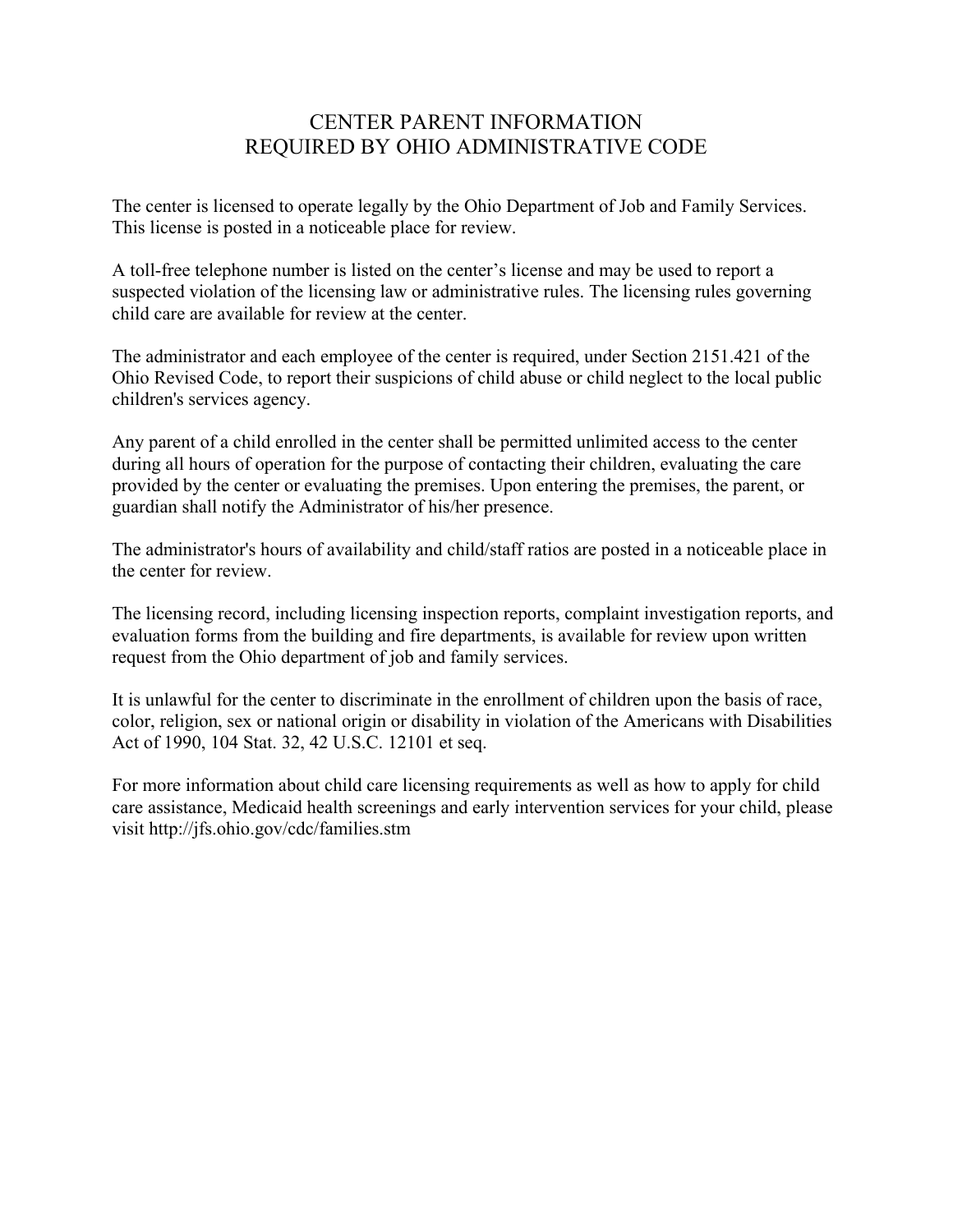# CENTER PARENT INFORMATION REQUIRED BY OHIO ADMINISTRATIVE CODE

The center is licensed to operate legally by the Ohio Department of Job and Family Services. This license is posted in a noticeable place for review.

A toll-free telephone number is listed on the center's license and may be used to report a suspected violation of the licensing law or administrative rules. The licensing rules governing child care are available for review at the center.

The administrator and each employee of the center is required, under Section 2151.421 of the Ohio Revised Code, to report their suspicions of child abuse or child neglect to the local public children's services agency.

Any parent of a child enrolled in the center shall be permitted unlimited access to the center during all hours of operation for the purpose of contacting their children, evaluating the care provided by the center or evaluating the premises. Upon entering the premises, the parent, or guardian shall notify the Administrator of his/her presence.

The administrator's hours of availability and child/staff ratios are posted in a noticeable place in the center for review.

The licensing record, including licensing inspection reports, complaint investigation reports, and evaluation forms from the building and fire departments, is available for review upon written request from the Ohio department of job and family services.

It is unlawful for the center to discriminate in the enrollment of children upon the basis of race, color, religion, sex or national origin or disability in violation of the Americans with Disabilities Act of 1990, 104 Stat. 32, 42 U.S.C. 12101 et seq.

For more information about child care licensing requirements as well as how to apply for child care assistance, Medicaid health screenings and early intervention services for your child, please visit http://jfs.ohio.gov/cdc/families.stm